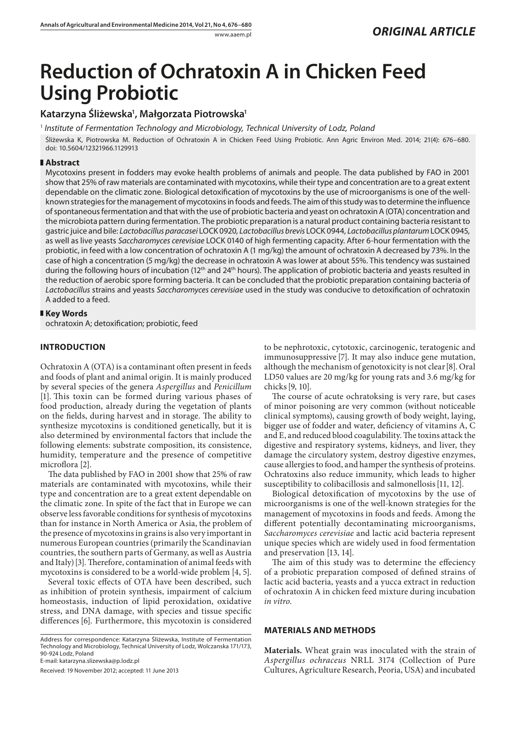# **Reduction of Ochratoxin A in Chicken Feed Using Probiotic**

## **Katarzyna Śliżewska1 , Małgorzata Piotrowska1**

<sup>1</sup> *Institute of Fermentation Technology and Microbiology, Technical University of Lodz, Poland* Śliżewska K, Piotrowska M. Reduction of Ochratoxin A in Chicken Feed Using Probiotic. Ann Agric Environ Med. 2014; 21(4): 676–680. doi: 10.5604/12321966.1129913

#### **Abstract**

Mycotoxins present in fodders may evoke health problems of animals and people. The data published by FAO in 2001 show that 25% of raw materials are contaminated with mycotoxins, while their type and concentration are to a great extent dependable on the climatic zone. Biological detoxification of mycotoxins by the use of microorganisms is one of the wellknown strategies for the management of mycotoxins in foods and feeds. The aim of this study was to determine the influence of spontaneous fermentation and that with the use of probiotic bacteria and yeast on ochratoxin A (OTA) concentration and the microbiota pattern during fermentation. The probiotic preparation is a natural product containing bacteria resistant to gastric juice and bile: *Lactobacillus paracasei* LOCK 0920*, Lactobacillus brevis* LOCK 0944*, Lactobacillus plantarum* LOCK 0945*,*  as well as live yeasts *Saccharomyces cerevisiae* LOCK 0140 of high fermenting capacity*.* After 6-hour fermentation with the probiotic, in feed with a low concentration of ochratoxin A (1 mg/kg) the amount of ochratoxin A decreased by 73%. In the case of high a concentration (5 mg/kg) the decrease in ochratoxin A was lower at about 55%. This tendency was sustained during the following hours of incubation (12<sup>th</sup> and 24<sup>th</sup> hours). The application of probiotic bacteria and yeasts resulted in the reduction of aerobic spore forming bacteria. It can be concluded that the probiotic preparation containing bacteria of *Lactobacillus* strains and yeasts *Saccharomyces cerevisiae* used in the study was conducive to detoxification of ochratoxin A added to a feed.

#### **Key Words**

ochratoxin A; detoxification; probiotic, feed

## **INTRODUCTION**

Ochratoxin A (OTA) is a contaminant often present in feeds and foods of plant and animal origin. It is mainly produced by several species of the genera *Aspergillus* and *Penicillum* [1]. This toxin can be formed during various phases of food production, already during the vegetation of plants on the fields, during harvest and in storage. The ability to synthesize mycotoxins is conditioned genetically, but it is also determined by environmental factors that include the following elements: substrate composition, its consistence, humidity, temperature and the presence of competitive microflora [2].

The data published by FAO in 2001 show that 25% of raw materials are contaminated with mycotoxins, while their type and concentration are to a great extent dependable on the climatic zone. In spite of the fact that in Europe we can observe less favorable conditions for synthesis of mycotoxins than for instance in North America or Asia, the problem of the presence of mycotoxins in grains is also very important in numerous European countries (primarily the Scandinavian countries, the southern parts of Germany, as well as Austria and Italy)[3]. Therefore, contamination of animal feeds with mycotoxins is considered to be a world-wide problem [4, 5].

Several toxic effects of OTA have been described, such as inhibition of protein synthesis, impairment of calcium homeostasis, induction of lipid peroxidation, oxidative stress, and DNA damage, with species and tissue specific differences[6]. Furthermore, this mycotoxin is considered

Address for correspondence: Katarzyna Śliżewska, Institute of Fermentation Technology and Microbiology, Technical University of Lodz, Wolczanska 171/173, 90-924 Lodz, Poland

E-mail: katarzyna.slizewska@p.lodz.pl

Received: 19 November 2012; accepted: 11 June 2013

to be nephrotoxic, cytotoxic, carcinogenic, teratogenic and immunosuppressive [7]. It may also induce gene mutation, although the mechanism of genotoxicity is not clear[8]. Oral LD50 values are 20 mg/kg for young rats and 3.6 mg/kg for chicks[9, 10].

The course of acute ochratoksing is very rare, but cases of minor poisoning are very common (without noticeable clinical symptoms), causing growth of body weight, laying, bigger use of fodder and water, deficiency of vitamins A, C and E, and reduced blood coagulability. The toxins attack the digestive and respiratory systems, kidneys, and liver, they damage the circulatory system, destroy digestive enzymes, cause allergies to food, and hamper the synthesis of proteins. Ochratoxins also reduce immunity, which leads to higher susceptibility to colibacillosis and salmonellosis[11, 12].

Biological detoxification of mycotoxins by the use of microorganisms is one of the well-known strategies for the management of mycotoxins in foods and feeds. Among the different potentially decontaminating microorganisms, *Saccharomyces cerevisiae* and lactic acid bacteria represent unique species which are widely used in food fermentation and preservation [13, 14].

The aim of this study was to determine the effeciency of a probiotic preparation composed of defined strains of lactic acid bacteria, yeasts and a yucca extract in reduction of ochratoxin A in chicken feed mixture during incubation *in vitro*.

#### **MATERIALS AND METHODS**

**Materials.** Wheat grain was inoculated with the strain of *Aspergillus ochraceus* NRLL 3174 (Collection of Pure Cultures, Agriculture Research, Peoria, USA) and incubated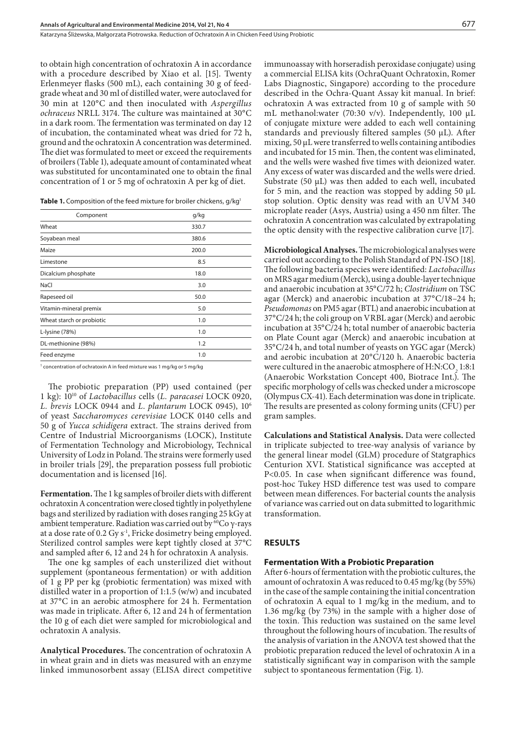Katarzyna Śliżewska, Małgorzata Piotrowska . Reduction of Ochratoxin A in Chicken Feed Using Probiotic

to obtain high concentration of ochratoxin A in accordance with a procedure described by Xiao et al. [15]. Twenty Erlenmeyer flasks (500 mL), each containing 30 g of feedgrade wheat and 30 ml of distilled water, were autoclaved for 30 min at 120°C and then inoculated with *Aspergillus ochraceus* NRLL 3174. The culture was maintained at 30°C in a dark room. The fermentation was terminated on day 12 of incubation, the contaminated wheat was dried for 72 h, ground and the ochratoxin A concentration was determined. The diet was formulated to meet or exceed the requirements of broilers (Table 1), adequate amount of contaminated wheat was substituted for uncontaminated one to obtain the final concentration of 1 or 5 mg of ochratoxin A per kg of diet.

| Table 1. Composition of the feed mixture for broiler chickens, g/kg <sup>1</sup> |  |  |  |
|----------------------------------------------------------------------------------|--|--|--|
|----------------------------------------------------------------------------------|--|--|--|

| Component                 | g/kg  |  |  |
|---------------------------|-------|--|--|
| Wheat                     | 330.7 |  |  |
| Soyabean meal             | 380.6 |  |  |
| Maize                     | 200.0 |  |  |
| Limestone                 | 8.5   |  |  |
| Dicalcium phosphate       | 18.0  |  |  |
| NaCl                      | 3.0   |  |  |
| Rapeseed oil              | 50.0  |  |  |
| Vitamin-mineral premix    | 5.0   |  |  |
| Wheat starch or probiotic | 1.0   |  |  |
| L-lysine (78%)            | 1.0   |  |  |
| DL-methionine (98%)       | 1.2   |  |  |
| Feed enzyme               | 1.0   |  |  |
|                           |       |  |  |

<sup>1</sup> concentration of ochratoxin A in feed mixture was 1 mg/kg or 5 mg/kg

The probiotic preparation (PP) used contained (per 1 kg): 1010 of *Lactobacillus* cells (*L. paracasei* LOCK 0920, *L. brevis* LOCK 0944 and *L*. *plantarum* LOCK 0945), 106 of yeast *Saccharomyces cerevisiae* LOCK 0140 cells and 50 g of *Yucca schidigera* extract. The strains derived from Centre of Industrial Microorganisms (LOCK), Institute of Fermentation Technology and Microbiology, Technical University of Lodz in Poland. The strains were formerly used in broiler trials [29], the preparation possess full probiotic documentation and is licensed [16].

**Fermentation.**The 1 kg samples of broiler diets with different ochratoxin A concentration were closed tightly in polyethylene bags and sterilized by radiation with doses ranging 25 kGy at ambient temperature. Radiation was carried out by <sup>60</sup>Co γ-rays at a dose rate of 0.2 Gy s<sup>-1</sup>, Fricke dosimetry being employed. Sterilized control samples were kept tightly closed at 37°C and sampled after 6, 12 and 24 h for ochratoxin A analysis.

The one kg samples of each unsterilized diet without supplement (spontaneous fermentation) or with addition of 1 g PP per kg (probiotic fermentation) was mixed with distilled water in a proportion of 1:1.5 (w/w) and incubated at 37°C in an aerobic atmosphere for 24 h. Fermentation was made in triplicate. After 6, 12 and 24 h of fermentation the 10 g of each diet were sampled for microbiological and ochratoxin A analysis.

**Analytical Procedures.** The concentration of ochratoxin A in wheat grain and in diets was measured with an enzyme linked immunosorbent assay (ELISA direct competitive immunoassay with horseradish peroxidase conjugate) using a commercial ELISA kits (OchraQuant Ochratoxin, Romer Labs Diagnostic, Singapore) according to the procedure described in the Ochra-Quant Assay kit manual. In brief: ochratoxin A was extracted from 10 g of sample with 50 mL methanol:water (70:30 v/v). Independently, 100 µL of conjugate mixture were added to each well containing standards and previously filtered samples (50 µL). After mixing, 50 µL were transferred to wells containing antibodies and incubated for 15 min. Then, the content was eliminated, and the wells were washed five times with deionized water. Any excess of water was discarded and the wells were dried. Substrate (50 µL) was then added to each well, incubated for 5 min, and the reaction was stopped by adding 50 µL stop solution. Optic density was read with an UVM 340 microplate reader (Asys, Austria) using a 450 nm filter. The ochratoxin A concentration was calculated by extrapolating the optic density with the respective calibration curve [17].

**Microbiological Analyses.**The microbiological analyses were carried out according to the Polish Standard of PN-ISO [18]. The following bacteria species were identified: *Lactobacillus*  on MRS agar medium (Merck), using a double-layer technique and anaerobic incubation at 35°C/72 h; *Clostridium* on TSC agar (Merck) and anaerobic incubation at 37°C/18–24 h; *Pseudomonas* on PM5 agar (BTL) and anaerobic incubation at 37°C/24 h; the coli group on VRBL agar (Merck) and aerobic incubation at 35°C/24 h; total number of anaerobic bacteria on Plate Count agar (Merck) and anaerobic incubation at 35°C/24 h, and total number of yeasts on YGC agar (Merck) and aerobic incubation at 20°C/120 h. Anaerobic bacteria were cultured in the anaerobic atmosphere of H:N:CO<sub>2</sub> 1:8:1 (Anaerobic Workstation Concept 400, Biotrace Int.). The specific morphology of cells was checked under a microscope (Olympus CX-41). Each determination was done in triplicate. The results are presented as colony forming units (CFU) per gram samples.

**Calculations and Statistical Analysis.** Data were collected in triplicate subjected to tree-way analysis of variance by the general linear model (GLM) procedure of Statgraphics Centurion XVI. Statistical significance was accepted at P<0.05. In case when significant difference was found, post-hoc Tukey HSD difference test was used to compare between mean differences. For bacterial counts the analysis of variance was carried out on data submitted to logarithmic transformation.

#### **RESULTS**

#### **Fermentation With a Probiotic Preparation**

After 6-hours of fermentation with the probiotic cultures, the amount of ochratoxin A was reduced to 0.45 mg/kg (by 55%) in the case of the sample containing the initial concentration of ochratoxin A equal to 1 mg/kg in the medium, and to 1.36 mg/kg (by 73%) in the sample with a higher dose of the toxin. This reduction was sustained on the same level throughout the following hours of incubation. The results of the analysis of variation in the ANOVA test showed that the probiotic preparation reduced the level of ochratoxin A in a statistically significant way in comparison with the sample subject to spontaneous fermentation (Fig. 1).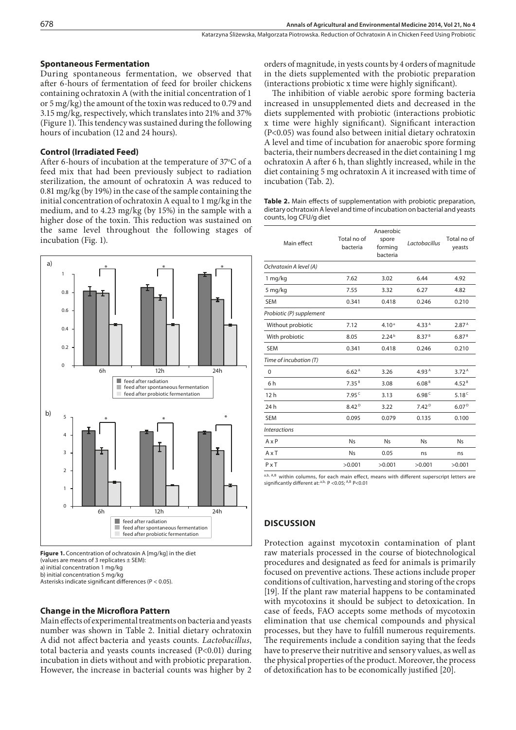#### **Spontaneous Fermentation**

During spontaneous fermentation, we observed that after 6-hours of fermentation of feed for broiler chickens containing ochratoxin A (with the initial concentration of 1 or 5 mg/kg) the amount of the toxin was reduced to 0.79 and 3.15 mg/kg, respectively, which translates into 21% and 37% (Figure 1). This tendency was sustained during the following hours of incubation (12 and 24 hours).

#### **Control (Irradiated Feed)**

After 6-hours of incubation at the temperature of 37°C of a feed mix that had been previously subject to radiation sterilization, the amount of ochratoxin A was reduced to 0.81 mg/kg (by 19%) in the case of the sample containing the initial concentration of ochratoxin A equal to 1 mg/kg in the medium, and to 4.23 mg/kg (by 15%) in the sample with a higher dose of the toxin. This reduction was sustained on the same level throughout the following stages of incubation (Fig. 1).



**Figure 1.** Concentration of ochratoxin A [mg/kg] in the diet (values are means of 3 replicates ± SEM): a) initial concentration 1 mg/kg b) initial concentration 5 mg/kg Asterisks indicate significant differences (P < 0.05).

## **Change in the Microflora Pattern**

Main effects of experimental treatments on bacteria and yeasts number was shown in Table 2. Initial dietary ochratoxin A did not affect bacteria and yeasts counts. *Lactobacillus*, total bacteria and yeasts counts increased (P<0.01) during incubation in diets without and with probiotic preparation. However, the increase in bacterial counts was higher by 2 orders of magnitude, in yests counts by 4 orders of magnitude in the diets supplemented with the probiotic preparation (interactions probiotic x time were highly significant).

The inhibition of viable aerobic spore forming bacteria increased in unsupplemented diets and decreased in the diets supplemented with probiotic (interactions probiotic x time were highly significant). Significant interaction (P<0.05) was found also between initial dietary ochratoxin A level and time of incubation for anaerobic spore forming bacteria, their numbers decreased in the diet containing 1 mg ochratoxin A after 6 h, than slightly increased, while in the diet containing 5 mg ochratoxin A it increased with time of incubation (Tab. 2).

**Table 2.** Main effects of supplementation with probiotic preparation, dietary ochratoxin A level and time of incubation on bacterial and yeasts counts, log CFU/g diet

| Main effect              | Total no of<br>bacteria | Anaerobic<br>spore<br>forming<br>bacteria | Lactobacillus     | Total no of<br>yeasts |
|--------------------------|-------------------------|-------------------------------------------|-------------------|-----------------------|
| Ochratoxin A level (A)   |                         |                                           |                   |                       |
| $1$ mg/kg                | 7.62                    | 3.02                                      | 6.44              | 4.92                  |
| 5 mg/kg                  | 7.55                    | 3.32                                      | 6.27              | 4.82                  |
| <b>SEM</b>               | 0.341                   | 0.418                                     | 0.246             | 0.210                 |
| Probiotic (P) supplement |                         |                                           |                   |                       |
| Without probiotic        | 7.12                    | 4.10 <sup>a</sup>                         | 4.33 <sup>A</sup> | 2.87 <sup>A</sup>     |
| With probiotic           | 8.05                    | 2.24 <sup>b</sup>                         | 8.37 <sup>B</sup> | 6.87 <sup>B</sup>     |
| <b>SEM</b>               | 0.341                   | 0.418                                     | 0.246             | 0.210                 |
| Time of incubation (T)   |                         |                                           |                   |                       |
| 0                        | 6.62 <sup>A</sup>       | 3.26                                      | 4.93 <sup>A</sup> | 3.72 <sup>A</sup>     |
| 6h                       | 7.35 <sup>B</sup>       | 3.08                                      | 6.08 <sup>B</sup> | 4.52 <sup>B</sup>     |
| 12h                      | 7.95c                   | 3.13                                      | 6.98 <sup>c</sup> | 5.18 $C$              |
| 24 <sub>h</sub>          | 8.42 <sup>D</sup>       | 3.22                                      | 7.42 <sup>D</sup> | 6.07 <sup>D</sup>     |
| <b>SEM</b>               | 0.095                   | 0.079                                     | 0.135             | 0.100                 |
| <b>Interactions</b>      |                         |                                           |                   |                       |
| $A \times P$             | <b>N<sub>S</sub></b>    | <b>Ns</b>                                 | <b>Ns</b>         | <b>N<sub>s</sub></b>  |
| $A \times T$             | <b>Ns</b>               | 0.05                                      | ns                | ns                    |
| $P \times T$             | >0.001                  | >0.001                                    | >0.001            | >0.001                |
|                          |                         |                                           |                   |                       |

a,b, A,B within columns, for each main effect, means with different superscript letters are significantly different at:  $a,b$ , P < 0.05;  $A,B$  P < 0.01

## **DISCUSSION**

Protection against mycotoxin contamination of plant raw materials processed in the course of biotechnological procedures and designated as feed for animals is primarily focused on preventive actions. These actions include proper conditions of cultivation, harvesting and storing of the crops [19]. If the plant raw material happens to be contaminated with mycotoxins it should be subject to detoxication. In case of feeds, FAO accepts some methods of mycotoxin elimination that use chemical compounds and physical processes, but they have to fulfill numerous requirements. The requirements include a condition saying that the feeds have to preserve their nutritive and sensory values, as well as the physical properties of the product. Moreover, the process of detoxification has to be economically justified [20].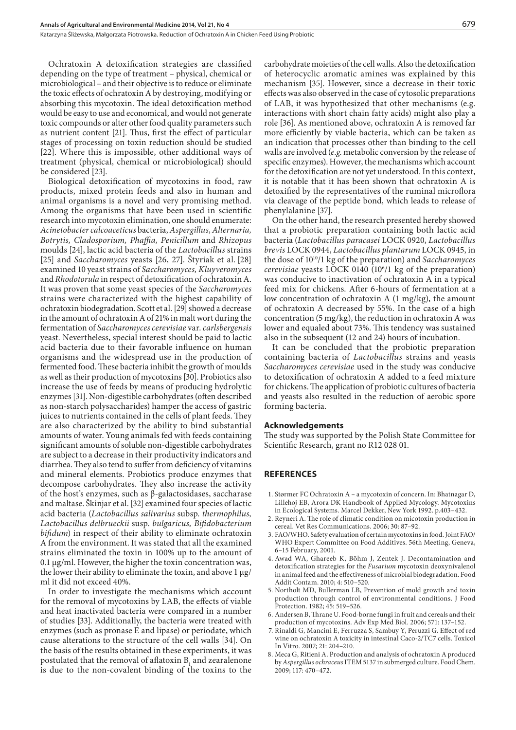Katarzyna Śliżewska, Małgorzata Piotrowska . Reduction of Ochratoxin A in Chicken Feed Using Probiotic

Ochratoxin A detoxification strategies are classified depending on the type of treatment – physical, chemical or microbiological – and their objective is to reduce or eliminate the toxic effects of ochratoxin A by destroying, modifying or absorbing this mycotoxin. The ideal detoxification method would be easy to use and economical, and would not generate toxic compounds or alter other food quality parameters such as nutrient content [21]. Thus, first the effect of particular stages of processing on toxin reduction should be studied [22]. Where this is impossible, other additional ways of treatment (physical, chemical or microbiological) should be considered [23].

Biological detoxification of mycotoxins in food, raw products, mixed protein feeds and also in human and animal organisms is a novel and very promising method. Among the organisms that have been used in scientific research into mycotoxin elimination, one should enumerate: *Acinetobacter calcoaceticus* bacteria, *Aspergillus*, *Alternaria, Botrytis, Cladosporium, Phaffia, Penicillum* and *Rhizopus* moulds [24], lactic acid bacteria of the *Lactobacillus* strains [25] and *Saccharomyces* yeasts [26, 27]. Ŝtyriak et al. [28] examined 10 yeast strains of *Saccharomyces, Kluyveromyces*  and *Rhodotorula* in respect of detoxification of ochratoxin A. It was proven that some yeast species of the *Saccharomyces* strains were characterized with the highest capability of ochratoxin biodegradation. Scott et al. [29] showed a decrease in the amount of ochratoxin A of 21% in malt wort during the fermentation of *Saccharomyces cerevisiae* var. *carlsbergensis* yeast*.* Nevertheless, special interest should be paid to lactic acid bacteria due to their favorable influence on human organisms and the widespread use in the production of fermented food. These bacteria inhibit the growth of moulds as well as their production of mycotoxins [30]. Probiotics also increase the use of feeds by means of producing hydrolytic enzymes [31]. Non-digestible carbohydrates (often described as non-starch polysaccharides) hamper the access of gastric juices to nutrients contained in the cells of plant feeds. They are also characterized by the ability to bind substantial amounts of water. Young animals fed with feeds containing significant amounts of soluble non-digestible carbohydrates are subject to a decrease in their productivity indicators and diarrhea. They also tend to suffer from deficiency of vitamins and mineral elements. Probiotics produce enzymes that decompose carbohydrates. They also increase the activity of the host's enzymes, such as β-galactosidases, saccharase and maltase. Ŝkinjar et al. [32] examined four species of lactic acid bacteria (*Lactobacillus salivarius* subsp. *thermophilus, Lactobacillus delbrueckii* susp. *bulgaricus, Bifidobacterium bifidum*) in respect of their ability to eliminate ochratoxin A from the environment. It was stated that all the examined strains eliminated the toxin in 100% up to the amount of 0.1 µg/ml. However, the higher the toxin concentration was, the lower their ability to eliminate the toxin, and above 1 µg/ ml it did not exceed 40%.

In order to investigate the mechanisms which account for the removal of mycotoxins by LAB, the effects of viable and heat inactivated bacteria were compared in a number of studies [33]. Additionally, the bacteria were treated with enzymes (such as pronase E and lipase) or periodate, which cause alterations to the structure of the cell walls [34]. On the basis of the results obtained in these experiments, it was postulated that the removal of aflatoxin  $B_1$  and zearalenone is due to the non-covalent binding of the toxins to the

carbohydrate moieties of the cell walls. Also the detoxification of heterocyclic aromatic amines was explained by this mechanism [35]. However, since a decrease in their toxic effects was also observed in the case of cytosolic preparations of LAB, it was hypothesized that other mechanisms (e.g. interactions with short chain fatty acids) might also play a role [36]. As mentioned above, ochratoxin A is removed far more efficiently by viable bacteria, which can be taken as an indication that processes other than binding to the cell walls are involved (*e.g.* metabolic conversion by the release of specific enzymes). However, the mechanisms which account for the detoxification are not yet understood. In this context, it is notable that it has been shown that ochratoxin A is detoxified by the representatives of the ruminal microflora via cleavage of the peptide bond, which leads to release of phenylalanine [37].

On the other hand, the research presented hereby showed that a probiotic preparation containing both lactic acid bacteria (*Lactobacillus paracasei* LOCK 0920, *Lactobacillus brevis* LOCK 0944, *Lactobacillus plantarum* LOCK 0945, in the dose of 1010/1 kg of the preparation) and *Saccharomyces cerevisiae* yeasts LOCK 0140 (106 /1 kg of the preparation) was conducive to inactivation of ochratoxin A in a typical feed mix for chickens. After 6-hours of fermentation at a low concentration of ochratoxin A (1 mg/kg), the amount of ochratoxin A decreased by 55%. In the case of a high concentration (5 mg/kg), the reduction in ochratoxin A was lower and equaled about 73%. This tendency was sustained also in the subsequent (12 and 24) hours of incubation.

It can be concluded that the probiotic preparation containing bacteria of *Lactobacillus* strains and yeasts *Saccharomyces cerevisiae* used in the study was conducive to detoxification of ochratoxin A added to a feed mixture for chickens. The application of probiotic cultures of bacteria and yeasts also resulted in the reduction of aerobic spore forming bacteria.

#### **Acknowledgements**

The study was supported by the Polish State Committee for Scientific Research, grant no R12 028 01.

#### **REFERENCES**

- 1. Størmer FC Ochratoxin A a mycotoxin of concern. In: Bhatnagar D, Lillehoj EB, Arora DK Handbook of Applied Mycology. Mycotoxins in Ecological Systems. Marcel Dekker, New York 1992. p.403–432.
- 2. Reyneri A. The role of climatic condition on micotoxin production in cereal. Vet Res Communications. 2006; 30: 87–92.
- 3. FAO/WHO. Safety evaluation of certain mycotoxins in food. Joint FAO/ WHO Expert Committee on Food Additives. 56th Meeting, Geneva, 6–15 February, 2001.
- 4. Awad WA, Ghareeb K, Böhm J, Zentek J. Decontamination and detoxification strategies for the *Fusarium* mycotoxin deoxynivalenol in animal feed and the effectiveness of microbial biodegradation. Food Addit Contam. 2010; 4: 510–520.
- 5. Northolt MD, Bullerman LB, Prevention of mold growth and toxin production through control of environmental conditions. J Food Protection. 1982; 45: 519–526.
- 6. Andersen B, Thrane U. Food-borne fungi in fruit and cereals and their production of mycotoxins. Adv Exp Med Biol. 2006; 571: 137–152.
- 7. Rinaldi G, Mancini E, Ferruzza S, Sambuy Y, Peruzzi G. Effect of red wine on ochratoxin A toxicity in intestinal Caco-2/TC7 cells. Toxicol In Vitro. 2007; 21: 204–210.
- 8. Meca G, Ritieni A. Production and analysis of ochratoxin A produced by *Aspergillus ochraceus* ITEM 5137 in submerged culture. Food Chem. 2009; 117: 470–472.